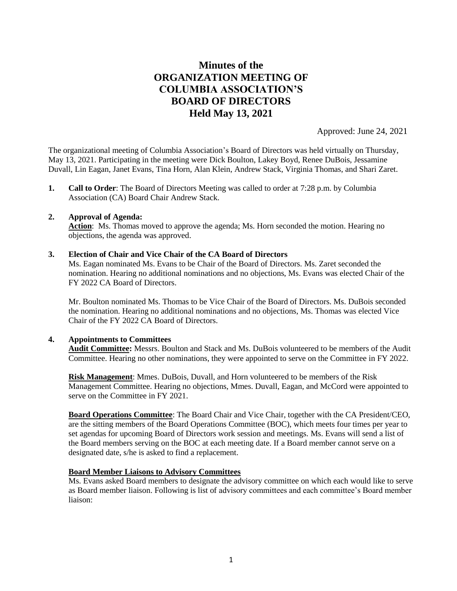# **Minutes of the ORGANIZATION MEETING OF COLUMBIA ASSOCIATION'S BOARD OF DIRECTORS Held May 13, 2021**

Approved: June 24, 2021

The organizational meeting of Columbia Association's Board of Directors was held virtually on Thursday, May 13, 2021. Participating in the meeting were Dick Boulton, Lakey Boyd, Renee DuBois, Jessamine Duvall, Lin Eagan, Janet Evans, Tina Horn, Alan Klein, Andrew Stack, Virginia Thomas, and Shari Zaret.

**1. Call to Order**: The Board of Directors Meeting was called to order at 7:28 p.m. by Columbia Association (CA) Board Chair Andrew Stack.

### **2. Approval of Agenda:**

**Action**: Ms. Thomas moved to approve the agenda; Ms. Horn seconded the motion. Hearing no objections, the agenda was approved.

### **3. Election of Chair and Vice Chair of the CA Board of Directors**

Ms. Eagan nominated Ms. Evans to be Chair of the Board of Directors. Ms. Zaret seconded the nomination. Hearing no additional nominations and no objections, Ms. Evans was elected Chair of the FY 2022 CA Board of Directors.

Mr. Boulton nominated Ms. Thomas to be Vice Chair of the Board of Directors. Ms. DuBois seconded the nomination. Hearing no additional nominations and no objections, Ms. Thomas was elected Vice Chair of the FY 2022 CA Board of Directors.

# **4. Appointments to Committees**

**Audit Committee:** Messrs. Boulton and Stack and Ms. DuBois volunteered to be members of the Audit Committee. Hearing no other nominations, they were appointed to serve on the Committee in FY 2022.

**Risk Management**: Mmes. DuBois, Duvall, and Horn volunteered to be members of the Risk Management Committee. Hearing no objections, Mmes. Duvall, Eagan, and McCord were appointed to serve on the Committee in FY 2021.

**Board Operations Committee**: The Board Chair and Vice Chair, together with the CA President/CEO, are the sitting members of the Board Operations Committee (BOC), which meets four times per year to set agendas for upcoming Board of Directors work session and meetings. Ms. Evans will send a list of the Board members serving on the BOC at each meeting date. If a Board member cannot serve on a designated date, s/he is asked to find a replacement.

# **Board Member Liaisons to Advisory Committees**

Ms. Evans asked Board members to designate the advisory committee on which each would like to serve as Board member liaison. Following is list of advisory committees and each committee's Board member liaison: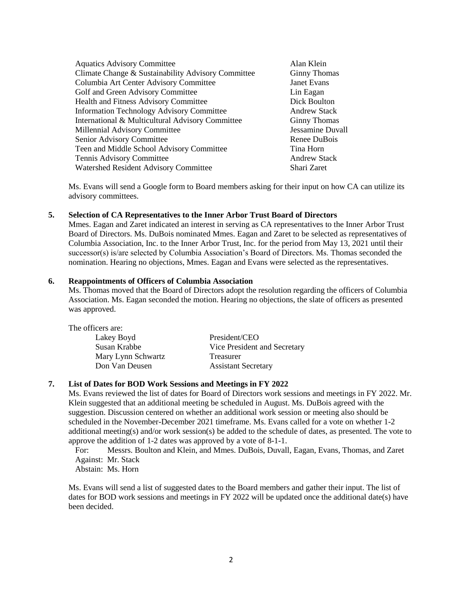| <b>Aquatics Advisory Committee</b>                 | Alan Klein          |
|----------------------------------------------------|---------------------|
| Climate Change & Sustainability Advisory Committee | <b>Ginny Thomas</b> |
| Columbia Art Center Advisory Committee             | Janet Evans         |
| Golf and Green Advisory Committee                  | Lin Eagan           |
| <b>Health and Fitness Advisory Committee</b>       | Dick Boulton        |
| <b>Information Technology Advisory Committee</b>   | <b>Andrew Stack</b> |
| International & Multicultural Advisory Committee   | <b>Ginny Thomas</b> |
| Millennial Advisory Committee                      | Jessamine Duvall    |
| Senior Advisory Committee                          | Renee DuBois        |
| Teen and Middle School Advisory Committee          | Tina Horn           |
| Tennis Advisory Committee                          | <b>Andrew Stack</b> |
| Watershed Resident Advisory Committee              | Shari Zaret         |

Ms. Evans will send a Google form to Board members asking for their input on how CA can utilize its advisory committees.

#### **5. Selection of CA Representatives to the Inner Arbor Trust Board of Directors**

Mmes. Eagan and Zaret indicated an interest in serving as CA representatives to the Inner Arbor Trust Board of Directors. Ms. DuBois nominated Mmes. Eagan and Zaret to be selected as representatives of Columbia Association, Inc. to the Inner Arbor Trust, Inc. for the period from May 13, 2021 until their successor(s) is/are selected by Columbia Association's Board of Directors. Ms. Thomas seconded the nomination. Hearing no objections, Mmes. Eagan and Evans were selected as the representatives.

#### **6. Reappointments of Officers of Columbia Association**

Ms. Thomas moved that the Board of Directors adopt the resolution regarding the officers of Columbia Association. Ms. Eagan seconded the motion. Hearing no objections, the slate of officers as presented was approved.

| The officers are:  |                              |
|--------------------|------------------------------|
| Lakey Boyd         | President/CEO                |
| Susan Krabbe       | Vice President and Secretary |
| Mary Lynn Schwartz | Treasurer                    |
| Don Van Deusen     | <b>Assistant Secretary</b>   |
|                    |                              |

# **7. List of Dates for BOD Work Sessions and Meetings in FY 2022**

Ms. Evans reviewed the list of dates for Board of Directors work sessions and meetings in FY 2022. Mr. Klein suggested that an additional meeting be scheduled in August. Ms. DuBois agreed with the suggestion. Discussion centered on whether an additional work session or meeting also should be scheduled in the November-December 2021 timeframe. Ms. Evans called for a vote on whether 1-2 additional meeting(s) and/or work session(s) be added to the schedule of dates, as presented. The vote to approve the addition of 1-2 dates was approved by a vote of 8-1-1.

For: Messrs. Boulton and Klein, and Mmes. DuBois, Duvall, Eagan, Evans, Thomas, and Zaret Against: Mr. Stack Abstain: Ms. Horn

Ms. Evans will send a list of suggested dates to the Board members and gather their input. The list of dates for BOD work sessions and meetings in FY 2022 will be updated once the additional date(s) have been decided.